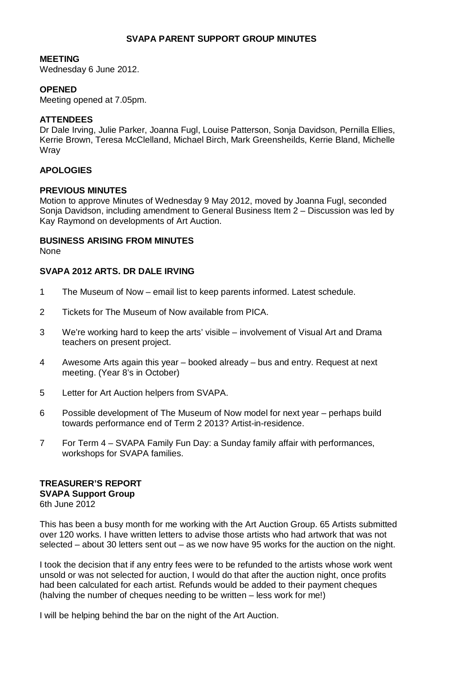# **SVAPA PARENT SUPPORT GROUP MINUTES**

#### **MEETING**

Wednesday 6 June 2012.

## **OPENED**

Meeting opened at 7.05pm.

#### **ATTENDEES**

Dr Dale Irving, Julie Parker, Joanna Fugl, Louise Patterson, Sonja Davidson, Pernilla Ellies, Kerrie Brown, Teresa McClelland, Michael Birch, Mark Greensheilds, Kerrie Bland, Michelle **Wray** 

# **APOLOGIES**

## **PREVIOUS MINUTES**

Motion to approve Minutes of Wednesday 9 May 2012, moved by Joanna Fugl, seconded Sonja Davidson, including amendment to General Business Item 2 – Discussion was led by Kay Raymond on developments of Art Auction.

## **BUSINESS ARISING FROM MINUTES**

None

#### **SVAPA 2012 ARTS. DR DALE IRVING**

- 1 The Museum of Now email list to keep parents informed. Latest schedule.
- 2 Tickets for The Museum of Now available from PICA.
- 3 We're working hard to keep the arts' visible involvement of Visual Art and Drama teachers on present project.
- 4 Awesome Arts again this year booked already bus and entry. Request at next meeting. (Year 8's in October)
- 5 Letter for Art Auction helpers from SVAPA.
- 6 Possible development of The Museum of Now model for next year perhaps build towards performance end of Term 2 2013? Artist-in-residence.
- 7 For Term 4 SVAPA Family Fun Day: a Sunday family affair with performances, workshops for SVAPA families.

### **TREASURER'S REPORT SVAPA Support Group**  6th June 2012

This has been a busy month for me working with the Art Auction Group. 65 Artists submitted over 120 works. I have written letters to advise those artists who had artwork that was not selected – about 30 letters sent out – as we now have 95 works for the auction on the night.

I took the decision that if any entry fees were to be refunded to the artists whose work went unsold or was not selected for auction, I would do that after the auction night, once profits had been calculated for each artist. Refunds would be added to their payment cheques (halving the number of cheques needing to be written – less work for me!)

I will be helping behind the bar on the night of the Art Auction.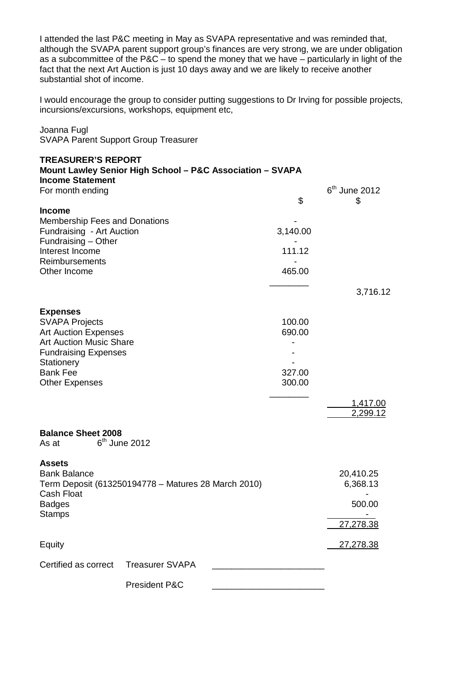I attended the last P&C meeting in May as SVAPA representative and was reminded that, although the SVAPA parent support group's finances are very strong, we are under obligation as a subcommittee of the P&C – to spend the money that we have – particularly in light of the fact that the next Art Auction is just 10 days away and we are likely to receive another substantial shot of income.

I would encourage the group to consider putting suggestions to Dr Irving for possible projects, incursions/excursions, workshops, equipment etc,

Joanna Fugl

SVAPA Parent Support Group Treasurer

| <b>TREASURER'S REPORT</b><br><b>Income Statement</b>                                                                                                                                                                                                        | Mount Lawley Senior High School - P&C Association - SVAPA |                            |                        |
|-------------------------------------------------------------------------------------------------------------------------------------------------------------------------------------------------------------------------------------------------------------|-----------------------------------------------------------|----------------------------|------------------------|
| For month ending                                                                                                                                                                                                                                            |                                                           | \$                         | $6th$ June 2012<br>\$  |
| <b>Income</b><br>Membership Fees and Donations<br>Fundraising - Art Auction<br>Fundraising - Other                                                                                                                                                          |                                                           | 3,140.00                   |                        |
| Interest Income<br>Reimbursements                                                                                                                                                                                                                           |                                                           | 111.12                     |                        |
| Other Income                                                                                                                                                                                                                                                |                                                           | 465.00                     |                        |
|                                                                                                                                                                                                                                                             |                                                           |                            | 3,716.12               |
| <b>Expenses</b><br><b>SVAPA Projects</b><br><b>Art Auction Expenses</b><br><b>Art Auction Music Share</b><br><b>Fundraising Expenses</b><br>Stationery<br><b>Bank Fee</b>                                                                                   |                                                           | 100.00<br>690.00<br>327.00 |                        |
| <b>Other Expenses</b>                                                                                                                                                                                                                                       |                                                           | 300.00                     |                        |
|                                                                                                                                                                                                                                                             |                                                           |                            | 1,417.00<br>2,299.12   |
| <b>Balance Sheet 2008</b><br>As at the state of the state of the state of the state of the state of the state of the state of the state of the state of the state of the state of the state of the state of the state of the state of the state of the stat | $6th$ June 2012                                           |                            |                        |
| <b>Assets</b><br><b>Bank Balance</b><br>Term Deposit (613250194778 - Matures 28 March 2010)<br>Cash Float<br><b>Badges</b><br><b>Stamps</b>                                                                                                                 |                                                           |                            | 20,410.25<br>6,368.13  |
|                                                                                                                                                                                                                                                             |                                                           |                            | 500.00                 |
| Equity                                                                                                                                                                                                                                                      |                                                           |                            | 27,278.38<br>27,278.38 |
|                                                                                                                                                                                                                                                             | <b>Treasurer SVAPA</b>                                    |                            |                        |
| Certified as correct                                                                                                                                                                                                                                        |                                                           |                            |                        |
|                                                                                                                                                                                                                                                             | President P&C                                             |                            |                        |